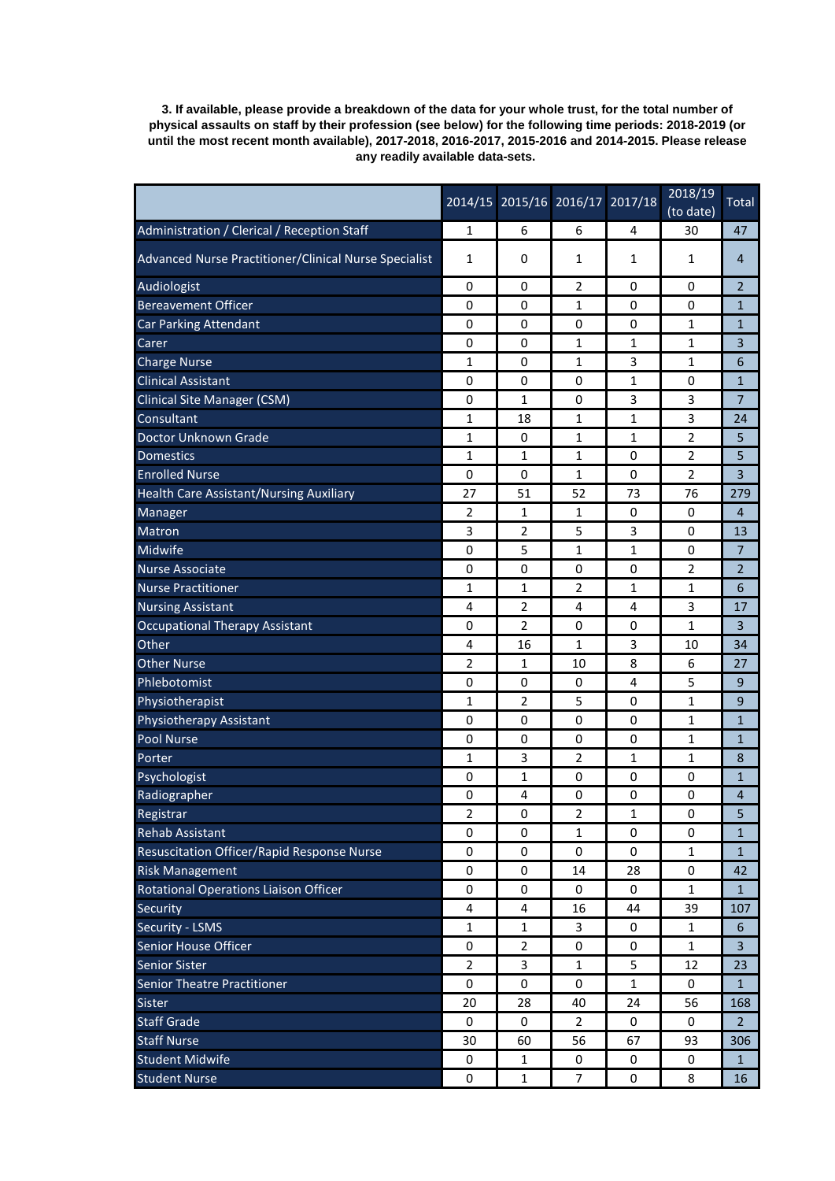**3. If available, please provide a breakdown of the data for your whole trust, for the total number of physical assaults on staff by their profession (see below) for the following time periods: 2018-2019 (or until the most recent month available), 2017-2018, 2016-2017, 2015-2016 and 2014-2015. Please release any readily available data-sets.**

|                                                       |                         | 2014/15 2015/16 2016/17 2017/18 |                |              | 2018/19<br>(to date) | Total          |
|-------------------------------------------------------|-------------------------|---------------------------------|----------------|--------------|----------------------|----------------|
| Administration / Clerical / Reception Staff           | 1                       | 6                               | 6              | 4            | 30                   | 47             |
| Advanced Nurse Practitioner/Clinical Nurse Specialist | 1                       | 0                               | 1              | 1            | 1                    | 4              |
| Audiologist                                           | 0                       | 0                               | 2              | 0            | 0                    | 2              |
| <b>Bereavement Officer</b>                            | 0                       | 0                               | 1              | 0            | 0                    | 1              |
| <b>Car Parking Attendant</b>                          | 0                       | 0                               | 0              | 0            | 1                    | 1              |
| Carer                                                 | 0                       | 0                               | 1              | $\mathbf{1}$ | $\mathbf{1}$         | 3              |
| <b>Charge Nurse</b>                                   | 1                       | 0                               | 1              | 3            | 1                    | 6              |
| <b>Clinical Assistant</b>                             | 0                       | 0                               | 0              | 1            | 0                    | 1              |
| <b>Clinical Site Manager (CSM)</b>                    | 0                       | 1                               | 0              | 3            | 3                    | 7              |
| Consultant                                            | 1                       | 18                              | 1              | 1            | 3                    | 24             |
| Doctor Unknown Grade                                  | 1                       | 0                               | 1              | 1            | 2                    | 5              |
| <b>Domestics</b>                                      | $\mathbf{1}$            | $\mathbf{1}$                    | 1              | 0            | $\overline{2}$       | 5              |
| <b>Enrolled Nurse</b>                                 | 0                       | 0                               | 1              | 0            | 2                    | 3              |
| <b>Health Care Assistant/Nursing Auxiliary</b>        | 27                      | 51                              | 52             | 73           | 76                   | 279            |
| Manager                                               | 2                       | 1                               | 1              | 0            | 0                    | 4              |
| Matron                                                | 3                       | 2                               | 5              | 3            | 0                    | 13             |
| <b>Midwife</b>                                        | 0                       | 5                               | 1              | 1            | 0                    | 7              |
| <b>Nurse Associate</b>                                | 0                       | 0                               | 0              | 0            | 2                    | 2              |
| <b>Nurse Practitioner</b>                             | 1                       | 1                               | 2              | 1            | 1                    | 6              |
| <b>Nursing Assistant</b>                              | 4                       | 2                               | 4              | 4            | 3                    | 17             |
| <b>Occupational Therapy Assistant</b>                 | 0                       | 2                               | 0              | 0            | 1                    | 3              |
| Other                                                 | 4                       | 16                              | 1              | 3            | 10                   | 34             |
| <b>Other Nurse</b>                                    | 2                       | 1                               | 10             | 8            | 6                    | 27             |
| Phlebotomist                                          | 0                       | 0                               | 0              | 4            | 5                    | 9              |
| Physiotherapist                                       | 1                       | 2                               | 5              | 0            | 1                    | 9              |
| <b>Physiotherapy Assistant</b>                        | 0                       | 0                               | 0              | 0            | 1                    | 1              |
| Pool Nurse                                            | 0                       | 0                               | 0              | 0            | 1                    | 1              |
| Porter                                                | 1                       | 3                               | 2              | 1            | 1                    | 8              |
| Psychologist                                          | 0                       | 1                               | 0              | 0            | 0                    | 1              |
| Radiographer                                          | 0                       | 4                               | 0              | 0            | 0                    | 4              |
| Registrar                                             | $\overline{\mathbf{c}}$ | 0                               | 2              | 1            | $\mathbf 0$          | 5              |
| <b>Rehab Assistant</b>                                | 0                       | 0                               | 1              | 0            | 0                    | $\mathbf{1}$   |
| Resuscitation Officer/Rapid Response Nurse            | 0                       | 0                               | 0              | 0            | 1                    | 1              |
| <b>Risk Management</b>                                | 0                       | 0                               | 14             | 28           | $\mathbf 0$          | 42             |
| Rotational Operations Liaison Officer                 | 0                       | 0                               | 0              | 0            | $\mathbf{1}$         | $\mathbf{1}$   |
| Security                                              | 4                       | 4                               | 16             | 44           | 39                   | 107            |
| Security - LSMS                                       | 1                       | 1                               | 3              | 0            | 1                    | 6              |
| Senior House Officer                                  | 0                       | $\overline{2}$                  | 0              | 0            | 1                    | 3              |
| <b>Senior Sister</b>                                  | $\overline{2}$          | 3                               | 1              | 5            | 12                   | 23             |
| <b>Senior Theatre Practitioner</b>                    | 0                       | 0                               | 0              | $\mathbf 1$  | 0                    | $\mathbf{1}$   |
| Sister                                                | 20                      | 28                              | 40             | 24           | 56                   | 168            |
| <b>Staff Grade</b>                                    | 0                       | 0                               | $\overline{2}$ | 0            | $\boldsymbol{0}$     | $\overline{2}$ |
| <b>Staff Nurse</b>                                    | 30                      | 60                              | 56             | 67           | 93                   | 306            |
| <b>Student Midwife</b>                                | 0                       | 1                               | 0              | 0            | 0                    | $\mathbf{1}$   |
| <b>Student Nurse</b>                                  | 0                       | $\mathbf{1}$                    | 7              | 0            | 8                    | 16             |